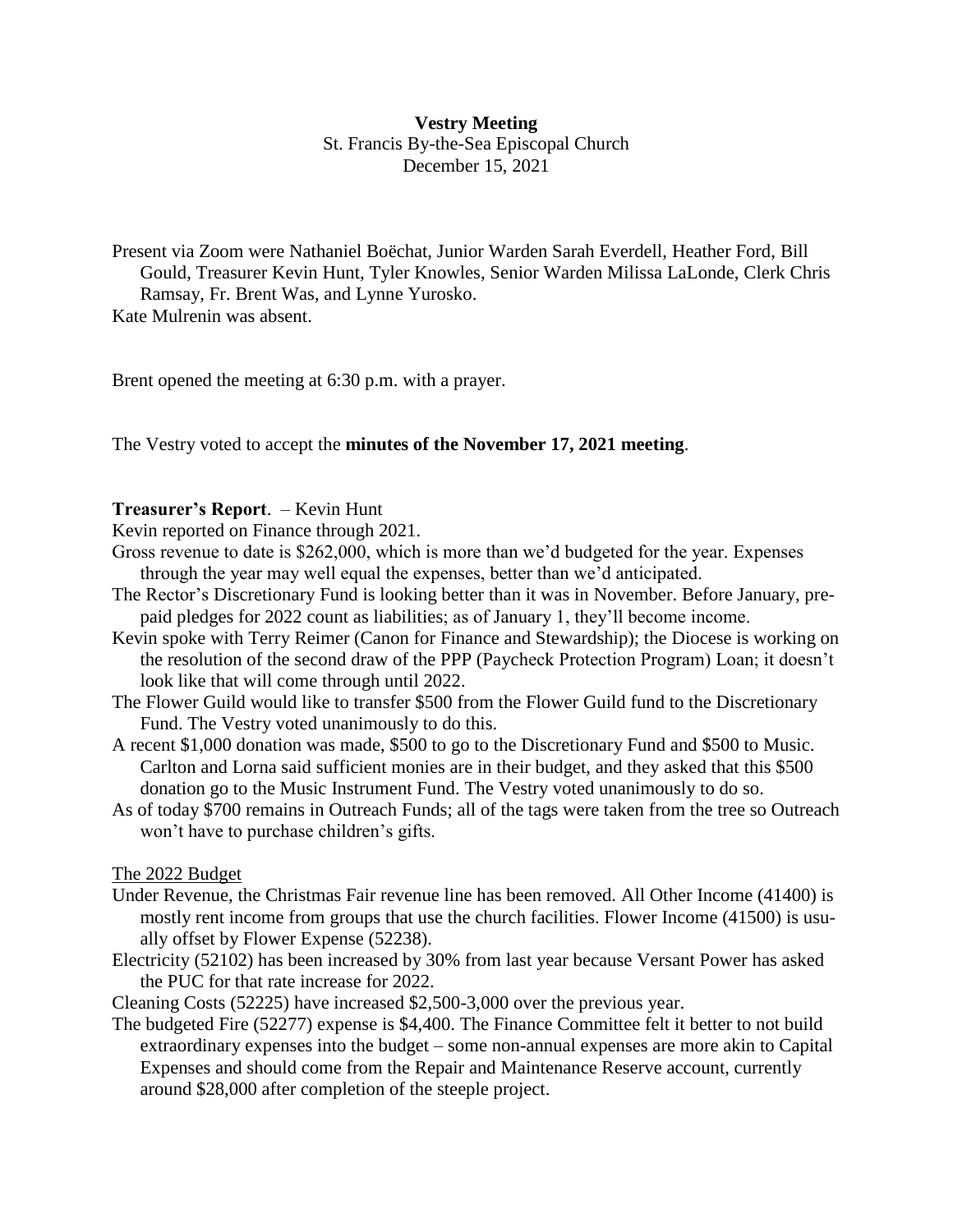# **Vestry Meeting** St. Francis By-the-Sea Episcopal Church December 15, 2021

Present via Zoom were Nathaniel Boëchat, Junior Warden Sarah Everdell, Heather Ford, Bill Gould, Treasurer Kevin Hunt, Tyler Knowles, Senior Warden Milissa LaLonde, Clerk Chris Ramsay, Fr. Brent Was, and Lynne Yurosko. Kate Mulrenin was absent.

Brent opened the meeting at 6:30 p.m. with a prayer.

The Vestry voted to accept the **minutes of the November 17, 2021 meeting**.

# **Treasurer's Report**. – Kevin Hunt

Kevin reported on Finance through 2021.

- Gross revenue to date is \$262,000, which is more than we'd budgeted for the year. Expenses through the year may well equal the expenses, better than we'd anticipated.
- The Rector's Discretionary Fund is looking better than it was in November. Before January, prepaid pledges for 2022 count as liabilities; as of January 1, they'll become income.
- Kevin spoke with Terry Reimer (Canon for Finance and Stewardship); the Diocese is working on the resolution of the second draw of the PPP (Paycheck Protection Program) Loan; it doesn't look like that will come through until 2022.
- The Flower Guild would like to transfer \$500 from the Flower Guild fund to the Discretionary Fund. The Vestry voted unanimously to do this.
- A recent \$1,000 donation was made, \$500 to go to the Discretionary Fund and \$500 to Music. Carlton and Lorna said sufficient monies are in their budget, and they asked that this \$500 donation go to the Music Instrument Fund. The Vestry voted unanimously to do so.
- As of today \$700 remains in Outreach Funds; all of the tags were taken from the tree so Outreach won't have to purchase children's gifts.

## The 2022 Budget

- Under Revenue, the Christmas Fair revenue line has been removed. All Other Income (41400) is mostly rent income from groups that use the church facilities. Flower Income (41500) is usually offset by Flower Expense (52238).
- Electricity (52102) has been increased by 30% from last year because Versant Power has asked the PUC for that rate increase for 2022.

Cleaning Costs (52225) have increased \$2,500-3,000 over the previous year.

The budgeted Fire (52277) expense is \$4,400. The Finance Committee felt it better to not build extraordinary expenses into the budget – some non-annual expenses are more akin to Capital Expenses and should come from the Repair and Maintenance Reserve account, currently around \$28,000 after completion of the steeple project.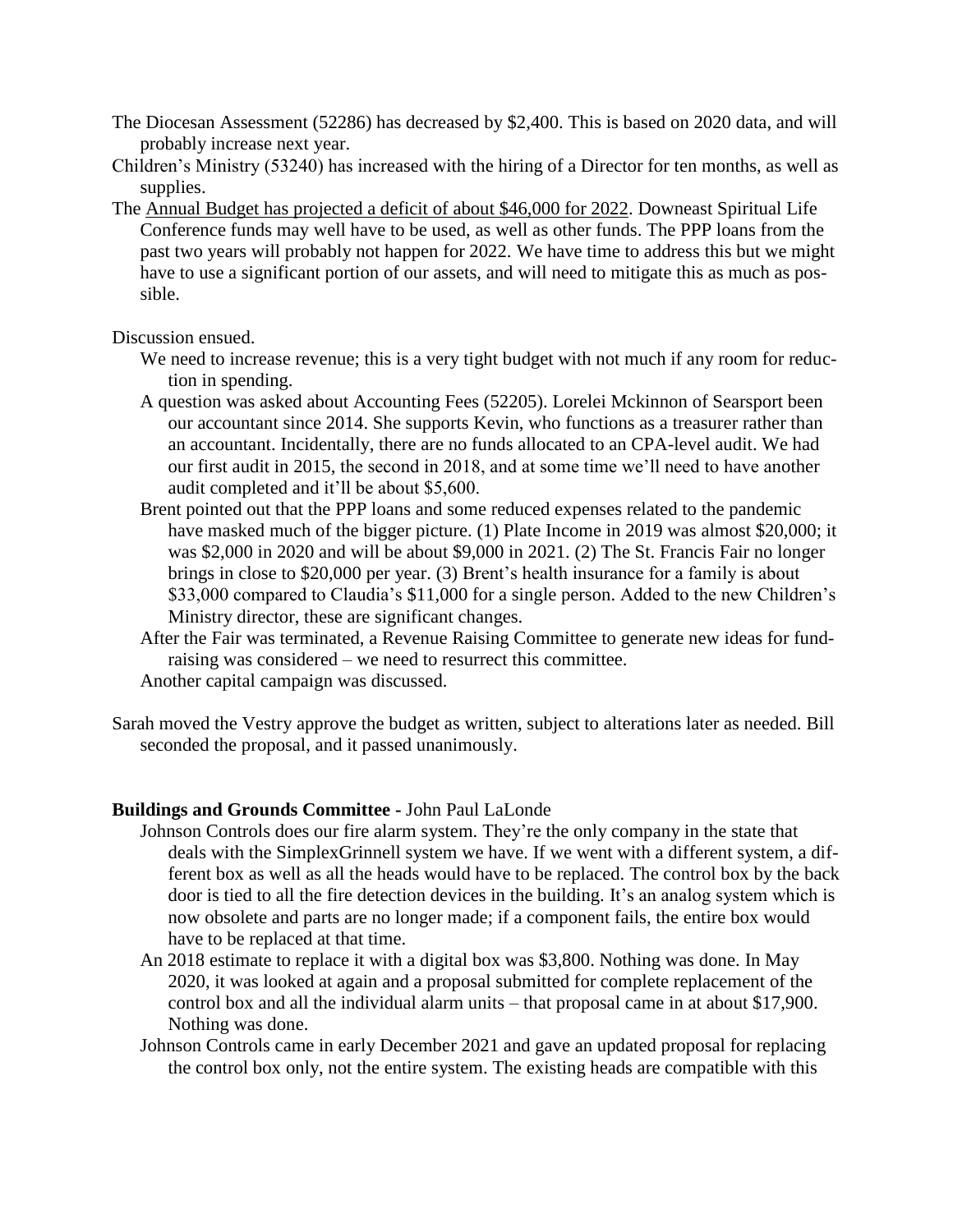- The Diocesan Assessment (52286) has decreased by \$2,400. This is based on 2020 data, and will probably increase next year.
- Children's Ministry (53240) has increased with the hiring of a Director for ten months, as well as supplies.
- The Annual Budget has projected a deficit of about \$46,000 for 2022. Downeast Spiritual Life Conference funds may well have to be used, as well as other funds. The PPP loans from the past two years will probably not happen for 2022. We have time to address this but we might have to use a significant portion of our assets, and will need to mitigate this as much as possible.

## Discussion ensued.

- We need to increase revenue; this is a very tight budget with not much if any room for reduction in spending.
- A question was asked about Accounting Fees (52205). Lorelei Mckinnon of Searsport been our accountant since 2014. She supports Kevin, who functions as a treasurer rather than an accountant. Incidentally, there are no funds allocated to an CPA-level audit. We had our first audit in 2015, the second in 2018, and at some time we'll need to have another audit completed and it'll be about \$5,600.
- Brent pointed out that the PPP loans and some reduced expenses related to the pandemic have masked much of the bigger picture. (1) Plate Income in 2019 was almost \$20,000; it was \$2,000 in 2020 and will be about \$9,000 in 2021. (2) The St. Francis Fair no longer brings in close to \$20,000 per year. (3) Brent's health insurance for a family is about \$33,000 compared to Claudia's \$11,000 for a single person. Added to the new Children's Ministry director, these are significant changes.
- After the Fair was terminated, a Revenue Raising Committee to generate new ideas for fundraising was considered – we need to resurrect this committee. Another capital campaign was discussed.
- Sarah moved the Vestry approve the budget as written, subject to alterations later as needed. Bill seconded the proposal, and it passed unanimously.

## **Buildings and Grounds Committee -** John Paul LaLonde

- Johnson Controls does our fire alarm system. They're the only company in the state that deals with the SimplexGrinnell system we have. If we went with a different system, a different box as well as all the heads would have to be replaced. The control box by the back door is tied to all the fire detection devices in the building. It's an analog system which is now obsolete and parts are no longer made; if a component fails, the entire box would have to be replaced at that time.
- An 2018 estimate to replace it with a digital box was \$3,800. Nothing was done. In May 2020, it was looked at again and a proposal submitted for complete replacement of the control box and all the individual alarm units – that proposal came in at about \$17,900. Nothing was done.
- Johnson Controls came in early December 2021 and gave an updated proposal for replacing the control box only, not the entire system. The existing heads are compatible with this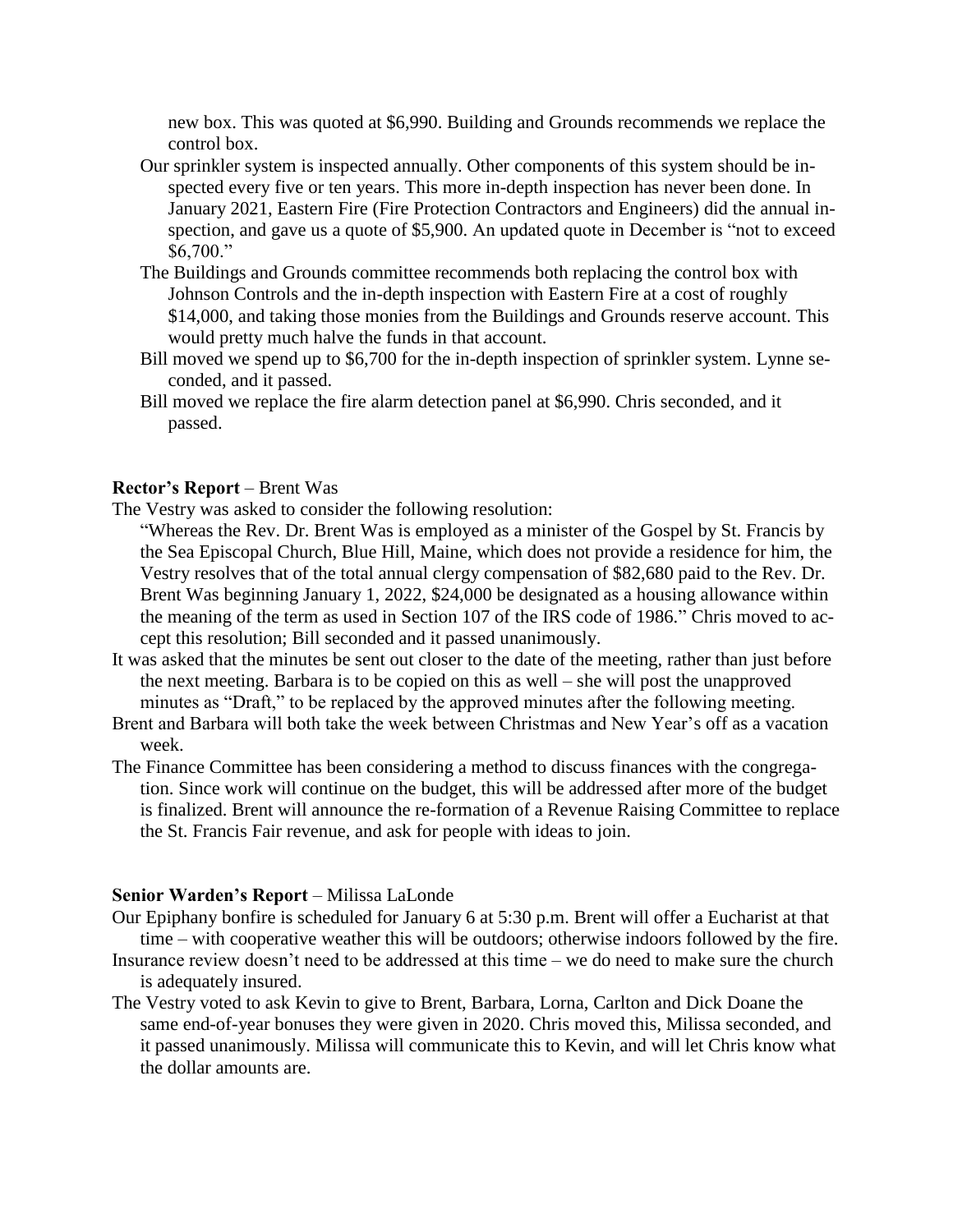new box. This was quoted at \$6,990. Building and Grounds recommends we replace the control box.

- Our sprinkler system is inspected annually. Other components of this system should be inspected every five or ten years. This more in-depth inspection has never been done. In January 2021, Eastern Fire (Fire Protection Contractors and Engineers) did the annual inspection, and gave us a quote of \$5,900. An updated quote in December is "not to exceed \$6,700."
- The Buildings and Grounds committee recommends both replacing the control box with Johnson Controls and the in-depth inspection with Eastern Fire at a cost of roughly \$14,000, and taking those monies from the Buildings and Grounds reserve account. This would pretty much halve the funds in that account.
- Bill moved we spend up to \$6,700 for the in-depth inspection of sprinkler system. Lynne seconded, and it passed.
- Bill moved we replace the fire alarm detection panel at \$6,990. Chris seconded, and it passed.

## **Rector's Report** – Brent Was

The Vestry was asked to consider the following resolution:

"Whereas the Rev. Dr. Brent Was is employed as a minister of the Gospel by St. Francis by the Sea Episcopal Church, Blue Hill, Maine, which does not provide a residence for him, the Vestry resolves that of the total annual clergy compensation of \$82,680 paid to the Rev. Dr. Brent Was beginning January 1, 2022, \$24,000 be designated as a housing allowance within the meaning of the term as used in Section 107 of the IRS code of 1986." Chris moved to accept this resolution; Bill seconded and it passed unanimously.

- It was asked that the minutes be sent out closer to the date of the meeting, rather than just before the next meeting. Barbara is to be copied on this as well – she will post the unapproved minutes as "Draft," to be replaced by the approved minutes after the following meeting.
- Brent and Barbara will both take the week between Christmas and New Year's off as a vacation week.
- The Finance Committee has been considering a method to discuss finances with the congregation. Since work will continue on the budget, this will be addressed after more of the budget is finalized. Brent will announce the re-formation of a Revenue Raising Committee to replace the St. Francis Fair revenue, and ask for people with ideas to join.

#### **Senior Warden's Report** – Milissa LaLonde

- Our Epiphany bonfire is scheduled for January 6 at 5:30 p.m. Brent will offer a Eucharist at that time – with cooperative weather this will be outdoors; otherwise indoors followed by the fire.
- Insurance review doesn't need to be addressed at this time we do need to make sure the church is adequately insured.
- The Vestry voted to ask Kevin to give to Brent, Barbara, Lorna, Carlton and Dick Doane the same end-of-year bonuses they were given in 2020. Chris moved this, Milissa seconded, and it passed unanimously. Milissa will communicate this to Kevin, and will let Chris know what the dollar amounts are.